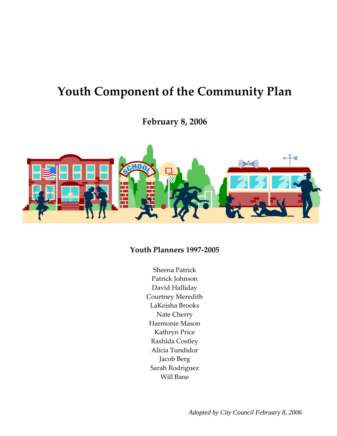# **Youth Component of the Community Plan**

**February 8, 2006** 



## **Youth Planners 1997‐2005**

Sheena Patrick Patrick Johnson David Halliday Courtney Meredith LaKeisha Brooks Nate Cherry Harmonie Mason Kathryn Price Rashida Costley Alicia Tundidor Jacob Berg Sarah Rodriguez Will Bane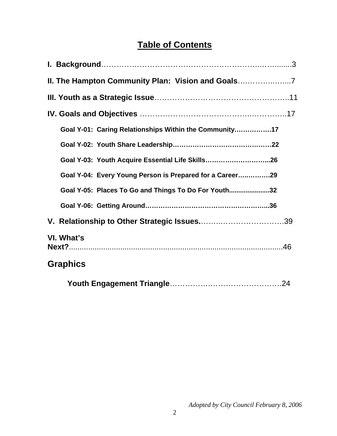## **Table of Contents**

| II. The Hampton Community Plan: Vision and Goals         |
|----------------------------------------------------------|
|                                                          |
|                                                          |
| Goal Y-01: Caring Relationships Within the Community17   |
|                                                          |
| Goal Y-03: Youth Acquire Essential Life Skills26         |
| Goal Y-04: Every Young Person is Prepared for a Career29 |
| Goal Y-05: Places To Go and Things To Do For Youth32     |
|                                                          |
|                                                          |
| VI. What's                                               |
| <b>Graphics</b>                                          |
|                                                          |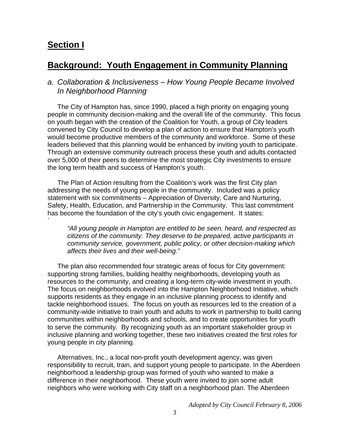## **Section I**

`

## **Background: Youth Engagement in Community Planning**

#### *a. Collaboration & Inclusiveness – How Young People Became Involved In Neighborhood Planning*

The City of Hampton has, since 1990, placed a high priority on engaging young people in community decision-making and the overall life of the community. This focus on youth began with the creation of the Coalition for Youth, a group of City leaders convened by City Council to develop a plan of action to ensure that Hampton's youth would become productive members of the community and workforce. Some of these leaders believed that this planning would be enhanced by inviting youth to participate. Through an extensive community outreach process these youth and adults contacted over 5,000 of their peers to determine the most strategic City investments to ensure the long term health and success of Hampton's youth.

The Plan of Action resulting from the Coalition's work was the first City plan addressing the needs of young people in the community. Included was a policy statement with six commitments – Appreciation of Diversity, Care and Nurturing, Safety, Health, Education, and Partnership in the Community. This last commitment has become the foundation of the city's youth civic engagement. It states:

*"All young people in Hampton are entitled to be seen, heard, and respected as citizens of the community. They deserve to be prepared, active participants in community service, government, public policy, or other decision-making which affects their lives and their well-being."* 

The plan also recommended four strategic areas of focus for City government: supporting strong families, building healthy neighborhoods, developing youth as resources to the community, and creating a long-term city-wide investment in youth. The focus on neighborhoods evolved into the Hampton Neighborhood Initiative, which supports residents as they engage in an inclusive planning process to identify and tackle neighborhood issues. The focus on youth as resources led to the creation of a community-wide initiative to train youth and adults to work in partnership to build caring communities within neighborhoods and schools, and to create opportunities for youth to serve the community. By recognizing youth as an important stakeholder group in inclusive planning and working together, these two initiatives created the first roles for young people in city planning.

Alternatives, Inc., a local non-profit youth development agency, was given responsibility to recruit, train, and support young people to participate. In the Aberdeen neighborhood a leadership group was formed of youth who wanted to make a difference in their neighborhood. These youth were invited to join some adult neighbors who were working with City staff on a neighborhood plan. The Aberdeen

*Adopted by City Council February 8, 2006*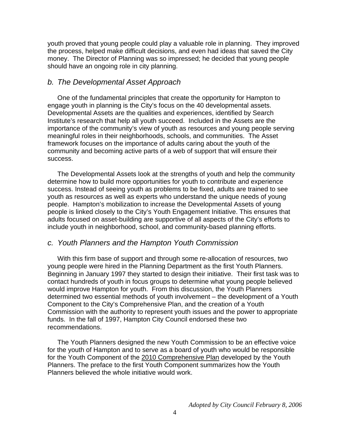youth proved that young people could play a valuable role in planning. They improved the process, helped make difficult decisions, and even had ideas that saved the City money. The Director of Planning was so impressed; he decided that young people should have an ongoing role in city planning.

#### *b. The Developmental Asset Approach*

One of the fundamental principles that create the opportunity for Hampton to engage youth in planning is the City's focus on the 40 developmental assets. Developmental Assets are the qualities and experiences, identified by Search Institute's research that help all youth succeed. Included in the Assets are the importance of the community's view of youth as resources and young people serving meaningful roles in their neighborhoods, schools, and communities. The Asset framework focuses on the importance of adults caring about the youth of the community and becoming active parts of a web of support that will ensure their success.

The Developmental Assets look at the strengths of youth and help the community determine how to build more opportunities for youth to contribute and experience success. Instead of seeing youth as problems to be fixed, adults are trained to see youth as resources as well as experts who understand the unique needs of young people. Hampton's mobilization to increase the Developmental Assets of young people is linked closely to the City's Youth Engagement Initiative. This ensures that adults focused on asset-building are supportive of all aspects of the City's efforts to include youth in neighborhood, school, and community-based planning efforts.

#### *c. Youth Planners and the Hampton Youth Commission*

With this firm base of support and through some re-allocation of resources, two young people were hired in the Planning Department as the first Youth Planners. Beginning in January 1997 they started to design their initiative. Their first task was to contact hundreds of youth in focus groups to determine what young people believed would improve Hampton for youth. From this discussion, the Youth Planners determined two essential methods of youth involvement – the development of a Youth Component to the City's Comprehensive Plan, and the creation of a Youth Commission with the authority to represent youth issues and the power to appropriate funds. In the fall of 1997, Hampton City Council endorsed these two recommendations.

The Youth Planners designed the new Youth Commission to be an effective voice for the youth of Hampton and to serve as a board of youth who would be responsible for the Youth Component of the 2010 Comprehensive Plan developed by the Youth Planners. The preface to the first Youth Component summarizes how the Youth Planners believed the whole initiative would work.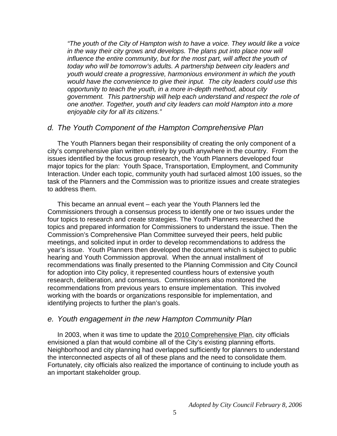*"The youth of the City of Hampton wish to have a voice. They would like a voice*  in the way their city grows and develops. The plans put into place now will *influence the entire community, but for the most part, will affect the youth of today who will be tomorrow's adults. A partnership between city leaders and youth would create a progressive, harmonious environment in which the youth would have the convenience to give their input. The city leaders could use this opportunity to teach the youth, in a more in-depth method, about city government. This partnership will help each understand and respect the role of one another. Together, youth and city leaders can mold Hampton into a more enjoyable city for all its citizens."* 

#### *d. The Youth Component of the Hampton Comprehensive Plan*

The Youth Planners began their responsibility of creating the only component of a city's comprehensive plan written entirely by youth anywhere in the country. From the issues identified by the focus group research, the Youth Planners developed four major topics for the plan: Youth Space, Transportation, Employment, and Community Interaction. Under each topic, community youth had surfaced almost 100 issues, so the task of the Planners and the Commission was to prioritize issues and create strategies to address them.

This became an annual event – each year the Youth Planners led the Commissioners through a consensus process to identify one or two issues under the four topics to research and create strategies. The Youth Planners researched the topics and prepared information for Commissioners to understand the issue. Then the Commission's Comprehensive Plan Committee surveyed their peers, held public meetings, and solicited input in order to develop recommendations to address the year's issue. Youth Planners then developed the document which is subject to public hearing and Youth Commission approval. When the annual installment of recommendations was finally presented to the Planning Commission and City Council for adoption into City policy, it represented countless hours of extensive youth research, deliberation, and consensus. Commissioners also monitored the recommendations from previous years to ensure implementation. This involved working with the boards or organizations responsible for implementation, and identifying projects to further the plan's goals.

#### *e. Youth engagement in the new Hampton Community Plan*

In 2003, when it was time to update the 2010 Comprehensive Plan, city officials envisioned a plan that would combine all of the City's existing planning efforts. Neighborhood and city planning had overlapped sufficiently for planners to understand the interconnected aspects of all of these plans and the need to consolidate them. Fortunately, city officials also realized the importance of continuing to include youth as an important stakeholder group.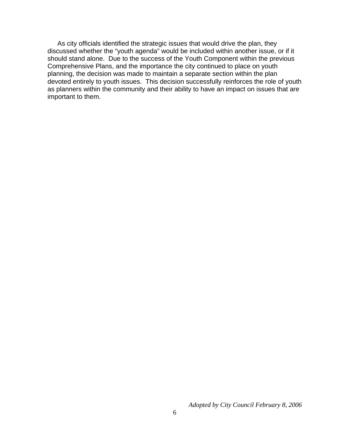As city officials identified the strategic issues that would drive the plan, they discussed whether the "youth agenda" would be included within another issue, or if it should stand alone. Due to the success of the Youth Component within the previous Comprehensive Plans, and the importance the city continued to place on youth planning, the decision was made to maintain a separate section within the plan devoted entirely to youth issues. This decision successfully reinforces the role of youth as planners within the community and their ability to have an impact on issues that are important to them.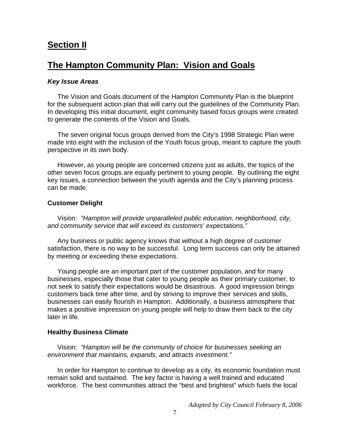## **Section II**

## **The Hampton Community Plan: Vision and Goals**

#### *Key Issue Areas*

The Vision and Goals document of the Hampton Community Plan is the blueprint for the subsequent action plan that will carry out the guidelines of the Community Plan. In developing this initial document, eight community based focus groups were created to generate the contents of the Vision and Goals.

The seven original focus groups derived from the City's 1998 Strategic Plan were made into eight with the inclusion of the Youth focus group, meant to capture the youth perspective in its own body.

However, as young people are concerned citizens just as adults, the topics of the other seven focus groups are equally pertinent to young people. By outlining the eight key issues, a connection between the youth agenda and the City's planning process can be made.

#### **Customer Delight**

Vision: *"Hampton will provide unparalleled public education, neighborhood, city, and community service that will exceed its customers' expectations."*

Any business or public agency knows that without a high degree of customer satisfaction, there is no way to be successful. Long term success can only be attained by meeting or exceeding these expectations.

Young people are an important part of the customer population, and for many businesses, especially those that cater to young people as their primary customer, to not seek to satisfy their expectations would be disastrous. A good impression brings customers back time after time, and by striving to improve their services and skills, businesses can easily flourish in Hampton. Additionally, a business atmosphere that makes a positive impression on young people will help to draw them back to the city later in life.

#### **Healthy Business Climate**

Vision: *"Hampton will be the community of choice for businesses seeking an environment that maintains, expands, and attracts investment."*

In order for Hampton to continue to develop as a city, its economic foundation must remain solid and sustained. The key factor is having a well trained and educated workforce. The best communities attract the "best and brightest" which fuels the local

*Adopted by City Council February 8, 2006*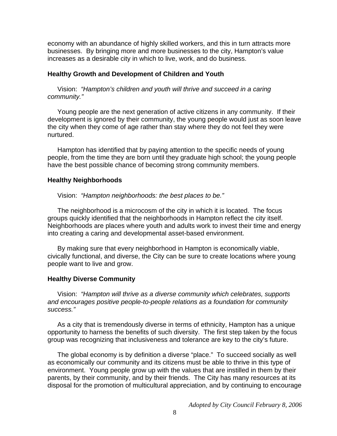economy with an abundance of highly skilled workers, and this in turn attracts more businesses. By bringing more and more businesses to the city, Hampton's value increases as a desirable city in which to live, work, and do business.

#### **Healthy Growth and Development of Children and Youth**

Vision: *"Hampton's children and youth will thrive and succeed in a caring community."*

Young people are the next generation of active citizens in any community. If their development is ignored by their community, the young people would just as soon leave the city when they come of age rather than stay where they do not feel they were nurtured.

Hampton has identified that by paying attention to the specific needs of young people, from the time they are born until they graduate high school; the young people have the best possible chance of becoming strong community members.

#### **Healthy Neighborhoods**

Vision: *"Hampton neighborhoods: the best places to be."*

The neighborhood is a microcosm of the city in which it is located. The focus groups quickly identified that the neighborhoods in Hampton reflect the city itself. Neighborhoods are places where youth and adults work to invest their time and energy into creating a caring and developmental asset-based environment.

By making sure that every neighborhood in Hampton is economically viable, civically functional, and diverse, the City can be sure to create locations where young people want to live and grow.

#### **Healthy Diverse Community**

Vision: *"Hampton will thrive as a diverse community which celebrates, supports and encourages positive people-to-people relations as a foundation for community success."*

As a city that is tremendously diverse in terms of ethnicity, Hampton has a unique opportunity to harness the benefits of such diversity. The first step taken by the focus group was recognizing that inclusiveness and tolerance are key to the city's future.

The global economy is by definition a diverse "place." To succeed socially as well as economically our community and its citizens must be able to thrive in this type of environment. Young people grow up with the values that are instilled in them by their parents, by their community, and by their friends. The City has many resources at its disposal for the promotion of multicultural appreciation, and by continuing to encourage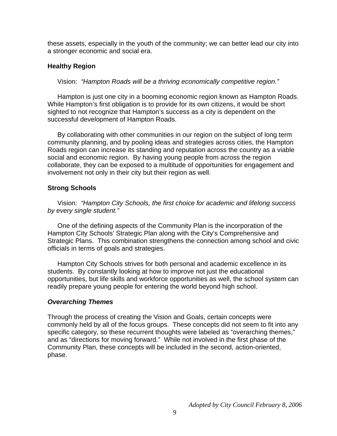these assets, especially in the youth of the community; we can better lead our city into a stronger economic and social era.

#### **Healthy Region**

Vision: *"Hampton Roads will be a thriving economically competitive region."*

Hampton is just one city in a booming economic region known as Hampton Roads. While Hampton's first obligation is to provide for its own citizens, it would be short sighted to not recognize that Hampton's success as a city is dependent on the successful development of Hampton Roads.

By collaborating with other communities in our region on the subject of long term community planning, and by pooling ideas and strategies across cities, the Hampton Roads region can increase its standing and reputation across the country as a viable social and economic region. By having young people from across the region collaborate, they can be exposed to a multitude of opportunities for engagement and involvement not only in their city but their region as well.

#### **Strong Schools**

Vision: *"Hampton City Schools, the first choice for academic and lifelong success by every single student."*

One of the defining aspects of the Community Plan is the incorporation of the Hampton City Schools' Strategic Plan along with the City's Comprehensive and Strategic Plans. This combination strengthens the connection among school and civic officials in terms of goals and strategies.

Hampton City Schools strives for both personal and academic excellence in its students. By constantly looking at how to improve not just the educational opportunities, but life skills and workforce opportunities as well, the school system can readily prepare young people for entering the world beyond high school.

#### *Overarching Themes*

Through the process of creating the Vision and Goals, certain concepts were commonly held by all of the focus groups. These concepts did not seem to fit into any specific category, so these recurrent thoughts were labeled as "overarching themes," and as "directions for moving forward." While not involved in the first phase of the Community Plan, these concepts will be included in the second, action-oriented, phase.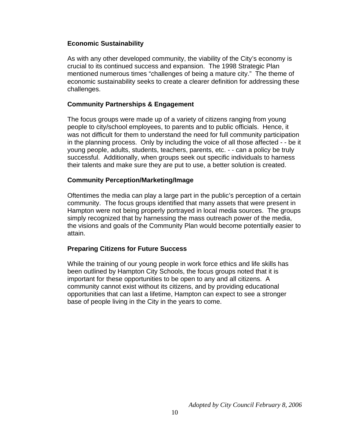#### **Economic Sustainability**

As with any other developed community, the viability of the City's economy is crucial to its continued success and expansion. The 1998 Strategic Plan mentioned numerous times "challenges of being a mature city." The theme of economic sustainability seeks to create a clearer definition for addressing these challenges.

#### **Community Partnerships & Engagement**

The focus groups were made up of a variety of citizens ranging from young people to city/school employees, to parents and to public officials. Hence, it was not difficult for them to understand the need for full community participation in the planning process. Only by including the voice of all those affected - - be it young people, adults, students, teachers, parents, etc. - - can a policy be truly successful. Additionally, when groups seek out specific individuals to harness their talents and make sure they are put to use, a better solution is created.

#### **Community Perception/Marketing/Image**

Oftentimes the media can play a large part in the public's perception of a certain community. The focus groups identified that many assets that were present in Hampton were not being properly portrayed in local media sources. The groups simply recognized that by harnessing the mass outreach power of the media, the visions and goals of the Community Plan would become potentially easier to attain.

#### **Preparing Citizens for Future Success**

While the training of our young people in work force ethics and life skills has been outlined by Hampton City Schools, the focus groups noted that it is important for these opportunities to be open to any and all citizens. A community cannot exist without its citizens, and by providing educational opportunities that can last a lifetime, Hampton can expect to see a stronger base of people living in the City in the years to come.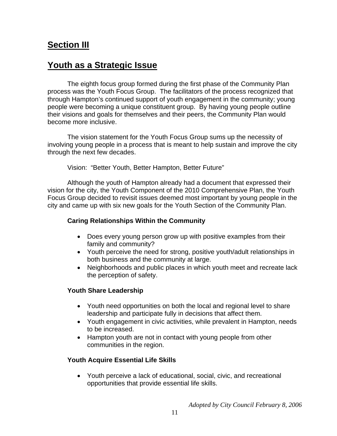## **Section III**

## **Youth as a Strategic Issue**

The eighth focus group formed during the first phase of the Community Plan process was the Youth Focus Group. The facilitators of the process recognized that through Hampton's continued support of youth engagement in the community; young people were becoming a unique constituent group. By having young people outline their visions and goals for themselves and their peers, the Community Plan would become more inclusive.

The vision statement for the Youth Focus Group sums up the necessity of involving young people in a process that is meant to help sustain and improve the city through the next few decades.

Vision: "Better Youth, Better Hampton, Better Future"

Although the youth of Hampton already had a document that expressed their vision for the city, the Youth Component of the 2010 Comprehensive Plan, the Youth Focus Group decided to revisit issues deemed most important by young people in the city and came up with six new goals for the Youth Section of the Community Plan.

#### **Caring Relationships Within the Community**

- Does every young person grow up with positive examples from their family and community?
- Youth perceive the need for strong, positive youth/adult relationships in both business and the community at large.
- Neighborhoods and public places in which youth meet and recreate lack the perception of safety.

#### **Youth Share Leadership**

- Youth need opportunities on both the local and regional level to share leadership and participate fully in decisions that affect them.
- Youth engagement in civic activities, while prevalent in Hampton, needs to be increased.
- Hampton youth are not in contact with young people from other communities in the region.

### **Youth Acquire Essential Life Skills**

• Youth perceive a lack of educational, social, civic, and recreational opportunities that provide essential life skills.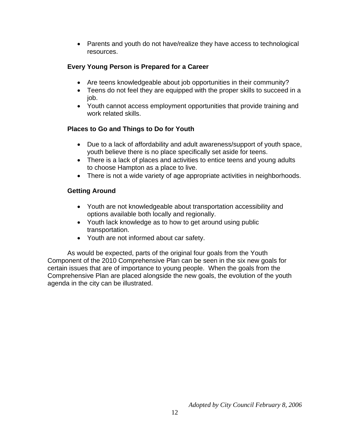• Parents and youth do not have/realize they have access to technological resources.

#### **Every Young Person is Prepared for a Career**

- Are teens knowledgeable about job opportunities in their community?
- Teens do not feel they are equipped with the proper skills to succeed in a job.
- Youth cannot access employment opportunities that provide training and work related skills.

#### **Places to Go and Things to Do for Youth**

- Due to a lack of affordability and adult awareness/support of youth space, youth believe there is no place specifically set aside for teens.
- There is a lack of places and activities to entice teens and young adults to choose Hampton as a place to live.
- There is not a wide variety of age appropriate activities in neighborhoods.

#### **Getting Around**

- Youth are not knowledgeable about transportation accessibility and options available both locally and regionally.
- Youth lack knowledge as to how to get around using public transportation.
- Youth are not informed about car safety.

As would be expected, parts of the original four goals from the Youth Component of the 2010 Comprehensive Plan can be seen in the six new goals for certain issues that are of importance to young people. When the goals from the Comprehensive Plan are placed alongside the new goals, the evolution of the youth agenda in the city can be illustrated.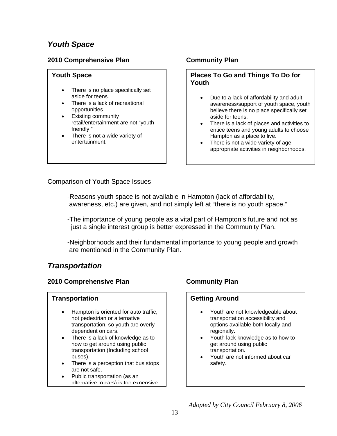## *Youth Space*

#### **2010 Comprehensive Plan Community Plan**

#### **Youth Space**

- There is no place specifically set aside for teens.
- There is a lack of recreational opportunities.
- Existing community retail/entertainment are not "youth friendly."
- There is not a wide variety of entertainment.

#### **Places To Go and Things To Do for Youth**

- Due to a lack of affordability and adult awareness/support of youth space, youth believe there is no place specifically set aside for teens.
- There is a lack of places and activities to entice teens and young adults to choose Hampton as a place to live.
- There is not a wide variety of age appropriate activities in neighborhoods.

Comparison of Youth Space Issues

-Reasons youth space is not available in Hampton (lack of affordability, awareness, etc.) are given, and not simply left at "there is no youth space."

-The importance of young people as a vital part of Hampton's future and not as just a single interest group is better expressed in the Community Plan.

-Neighborhoods and their fundamental importance to young people and growth are mentioned in the Community Plan.

## *Transportation*

#### **2010 Comprehensive Plan Community Plan**

#### **Transportation**

- Hampton is oriented for auto traffic, not pedestrian or alternative transportation, so youth are overly dependent on cars.
- There is a lack of knowledge as to how to get around using public transportation (Including school buses).
- There is a perception that bus stops are not safe.
- France transportation (as alternative to cars) is too expensive. • Public transportation (as an

#### **Getting Around**

- Youth are not knowledgeable about transportation accessibility and options available both locally and regionally.
- Youth lack knowledge as to how to get around using public transportation.
- Youth are not informed about car safety.

*Adopted by City Council February 8, 2006*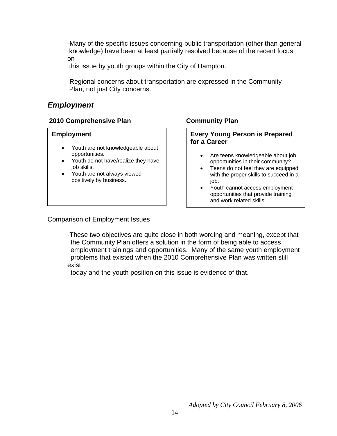-Many of the specific issues concerning public transportation (other than general knowledge) have been at least partially resolved because of the recent focus on

this issue by youth groups within the City of Hampton.

-Regional concerns about transportation are expressed in the Community Plan, not just City concerns.

## *Employment*

#### **2010 Comprehensive Plan Community Plan**

#### **Employment**

- Youth are not knowledgeable about opportunities.
- Youth do not have/realize they have job skills.
- Youth are not always viewed positively by business.

#### **Every Young Person is Prepared for a Career**

- Are teens knowledgeable about job opportunities in their community?
- Teens do not feel they are equipped with the proper skills to succeed in a job.
- Youth cannot access employment opportunities that provide training and work related skills.

Comparison of Employment Issues

-These two objectives are quite close in both wording and meaning, except that the Community Plan offers a solution in the form of being able to access employment trainings and opportunities. Many of the same youth employment problems that existed when the 2010 Comprehensive Plan was written still exist

today and the youth position on this issue is evidence of that.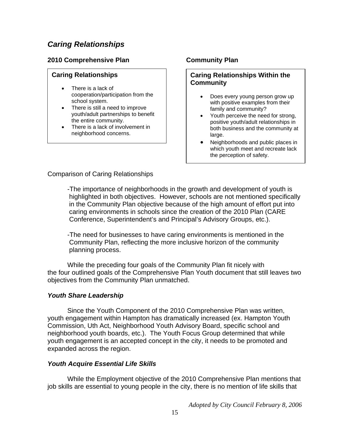## *Caring Relationships*

#### **2010 Comprehensive Plan Community Plan**

#### **Caring Relationships**

- There is a lack of cooperation/participation from the school system.
- There is still a need to improve youth/adult partnerships to benefit the entire community.
- There is a lack of involvement in neighborhood concerns.

#### **Caring Relationships Within the Community**

- Does every young person grow up with positive examples from their family and community?
- Youth perceive the need for strong, positive youth/adult relationships in both business and the community at large.
- Neighborhoods and public places in which youth meet and recreate lack the perception of safety.

Comparison of Caring Relationships

-The importance of neighborhoods in the growth and development of youth is highlighted in both objectives. However, schools are not mentioned specifically in the Community Plan objective because of the high amount of effort put into caring environments in schools since the creation of the 2010 Plan (CARE Conference, Superintendent's and Principal's Advisory Groups, etc.).

-The need for businesses to have caring environments is mentioned in the Community Plan, reflecting the more inclusive horizon of the community planning process.

While the preceding four goals of the Community Plan fit nicely with the four outlined goals of the Comprehensive Plan Youth document that still leaves two objectives from the Community Plan unmatched.

#### *Youth Share Leadership*

Since the Youth Component of the 2010 Comprehensive Plan was written, youth engagement within Hampton has dramatically increased (ex. Hampton Youth Commission, Uth Act, Neighborhood Youth Advisory Board, specific school and neighborhood youth boards, etc.). The Youth Focus Group determined that while youth engagement is an accepted concept in the city, it needs to be promoted and expanded across the region.

#### *Youth Acquire Essential Life Skills*

 While the Employment objective of the 2010 Comprehensive Plan mentions that job skills are essential to young people in the city, there is no mention of life skills that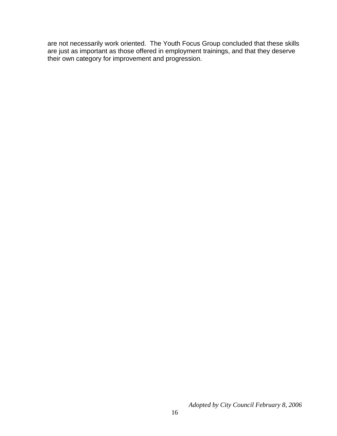are not necessarily work oriented. The Youth Focus Group concluded that these skills are just as important as those offered in employment trainings, and that they deserve their own category for improvement and progression.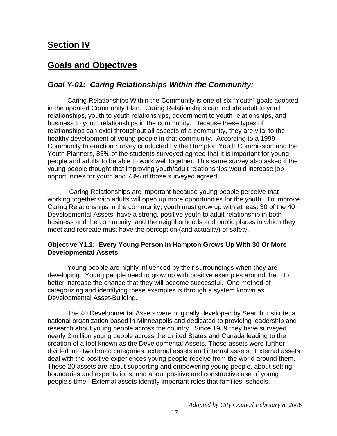## **Section IV**

## **Goals and Objectives**

### *Goal Y-01: Caring Relationships Within the Community:*

Caring Relationships Within the Community is one of six "Youth" goals adopted in the updated Community Plan. Caring Relationships can include adult to youth relationships, youth to youth relationships, government to youth relationships, and business to youth relationships in the community. Because these types of relationships can exist throughout all aspects of a community, they are vital to the healthy development of young people in that community. According to a 1999 Community Interaction Survey conducted by the Hampton Youth Commission and the Youth Planners, 83% of the students surveyed agreed that it is important for young people and adults to be able to work well together. This same survey also asked if the young people thought that improving youth/adult relationships would increase job opportunities for youth and 73% of those surveyed agreed.

 Caring Relationships are important because young people perceive that working together with adults will open up more opportunities for the youth. To improve Caring Relationships in the community, youth must grow up with at least 30 of the 40 Developmental Assets, have a strong, positive youth to adult relationship in both business and the community, and the neighborhoods and public places in which they meet and recreate must have the perception (and actuality) of safety.

#### **Objective Y1.1: Every Young Person In Hampton Grows Up With 30 Or More Developmental Assets.**

Young people are highly influenced by their surroundings when they are developing. Young people need to grow up with positive examples around them to better increase the chance that they will become successful. One method of categorizing and identifying these examples is through a system known as Developmental Asset-Building.

The 40 Developmental Assets were originally developed by Search Institute, a national organization based in Minneapolis and dedicated to providing leadership and research about young people across the country. Since 1989 they have surveyed nearly 2 million young people across the United States and Canada leading to the creation of a tool known as the Developmental Assets. These assets were further divided into two broad categories, external assets and internal assets. External assets deal with the positive experiences young people receive from the world around them. These 20 assets are about supporting and empowering young people, about setting boundaries and expectations, and about positive and constructive use of young people's time. External assets identify important roles that families, schools,

*Adopted by City Council February 8, 2006*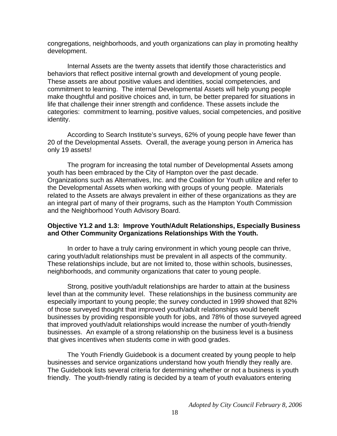congregations, neighborhoods, and youth organizations can play in promoting healthy development.

Internal Assets are the twenty assets that identify those characteristics and behaviors that reflect positive internal growth and development of young people. These assets are about positive values and identities, social competencies, and commitment to learning. The internal Developmental Assets will help young people make thoughtful and positive choices and, in turn, be better prepared for situations in life that challenge their inner strength and confidence. These assets include the categories: commitment to learning, positive values, social competencies, and positive identity.

According to Search Institute's surveys, 62% of young people have fewer than 20 of the Developmental Assets. Overall, the average young person in America has only 19 assets!

The program for increasing the total number of Developmental Assets among youth has been embraced by the City of Hampton over the past decade. Organizations such as Alternatives, Inc. and the Coalition for Youth utilize and refer to the Developmental Assets when working with groups of young people. Materials related to the Assets are always prevalent in either of these organizations as they are an integral part of many of their programs, such as the Hampton Youth Commission and the Neighborhood Youth Advisory Board.

#### **Objective Y1.2 and 1.3: Improve Youth/Adult Relationships, Especially Business and Other Community Organizations Relationships With the Youth.**

In order to have a truly caring environment in which young people can thrive, caring youth/adult relationships must be prevalent in all aspects of the community. These relationships include, but are not limited to, those within schools, businesses, neighborhoods, and community organizations that cater to young people.

Strong, positive youth/adult relationships are harder to attain at the business level than at the community level. These relationships in the business community are especially important to young people; the survey conducted in 1999 showed that 82% of those surveyed thought that improved youth/adult relationships would benefit businesses by providing responsible youth for jobs, and 78% of those surveyed agreed that improved youth/adult relationships would increase the number of youth-friendly businesses. An example of a strong relationship on the business level is a business that gives incentives when students come in with good grades.

The Youth Friendly Guidebook is a document created by young people to help businesses and service organizations understand how youth friendly they really are. The Guidebook lists several criteria for determining whether or not a business is youth friendly. The youth-friendly rating is decided by a team of youth evaluators entering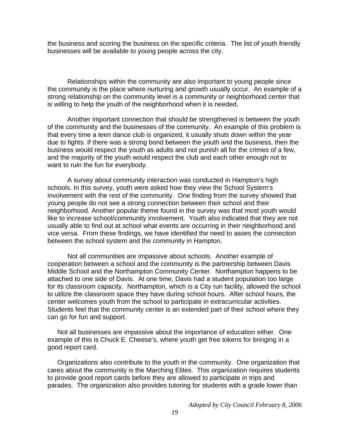the business and scoring the business on the specific criteria. The list of youth friendly businesses will be available to young people across the city.

Relationships within the community are also important to young people since the community is the place where nurturing and growth usually occur. An example of a strong relationship on the community level is a community or neighborhood center that is willing to help the youth of the neighborhood when it is needed.

Another important connection that should be strengthened is between the youth of the community and the businesses of the community. An example of this problem is that every time a teen dance club is organized, it usually shuts down within the year due to fights. If there was a strong bond between the youth and the business, then the business would respect the youth as adults and not punish all for the crimes of a few, and the majority of the youth would respect the club and each other enough not to want to ruin the fun for everybody.

A survey about community interaction was conducted in Hampton's high schools. In this survey, youth were asked how they view the School System's involvement with the rest of the community. One finding from the survey showed that young people do not see a strong connection between their school and their neighborhood. Another popular theme found in the survey was that most youth would like to increase school/community involvement. Youth also indicated that they are not usually able to find out at school what events are occurring in their neighborhood and vice versa. From these findings, we have identified the need to asses the connection between the school system and the community in Hampton.

Not all communities are impassive about schools. Another example of cooperation between a school and the community is the partnership between Davis Middle School and the Northampton Community Center. Northampton happens to be attached to one side of Davis. At one time, Davis had a student population too large for its classroom capacity. Northampton, which is a City run facility, allowed the school to utilize the classroom space they have during school hours. After school hours, the center welcomes youth from the school to participate in extracurricular activities. Students feel that the community center is an extended part of their school where they can go for fun and support.

Not all businesses are impassive about the importance of education either. One example of this is Chuck E. Cheese's, where youth get free tokens for bringing in a good report card.

Organizations also contribute to the youth in the community. One organization that cares about the community is the Marching Elites. This organization requires students to provide good report cards before they are allowed to participate in trips and parades. The organization also provides tutoring for students with a grade lower than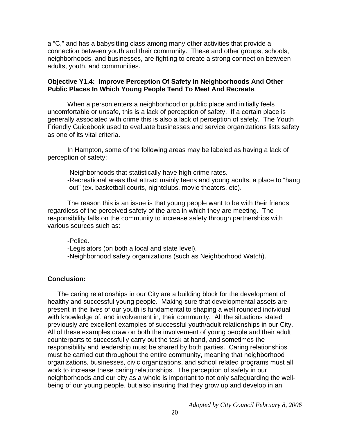a "C," and has a babysitting class among many other activities that provide a connection between youth and their community. These and other groups, schools, neighborhoods, and businesses, are fighting to create a strong connection between adults, youth, and communities.

#### **Objective Y1.4: Improve Perception Of Safety In Neighborhoods And Other Public Places In Which Young People Tend To Meet And Recreate**.

When a person enters a neighborhood or public place and initially feels uncomfortable or unsafe, this is a lack of perception of safety. If a certain place is generally associated with crime this is also a lack of perception of safety. The Youth Friendly Guidebook used to evaluate businesses and service organizations lists safety as one of its vital criteria.

In Hampton, some of the following areas may be labeled as having a lack of perception of safety:

-Neighborhoods that statistically have high crime rates. -Recreational areas that attract mainly teens and young adults, a place to "hang out" (ex. basketball courts, nightclubs, movie theaters, etc).

 The reason this is an issue is that young people want to be with their friends regardless of the perceived safety of the area in which they are meeting. The responsibility falls on the community to increase safety through partnerships with various sources such as:

-Police.

-Legislators (on both a local and state level).

-Neighborhood safety organizations (such as Neighborhood Watch).

#### **Conclusion:**

The caring relationships in our City are a building block for the development of healthy and successful young people. Making sure that developmental assets are present in the lives of our youth is fundamental to shaping a well rounded individual with knowledge of, and involvement in, their community. All the situations stated previously are excellent examples of successful youth/adult relationships in our City. All of these examples draw on both the involvement of young people and their adult counterparts to successfully carry out the task at hand, and sometimes the responsibility and leadership must be shared by both parties. Caring relationships must be carried out throughout the entire community, meaning that neighborhood organizations, businesses, civic organizations, and school related programs must all work to increase these caring relationships. The perception of safety in our neighborhoods and our city as a whole is important to not only safeguarding the wellbeing of our young people, but also insuring that they grow up and develop in an

*Adopted by City Council February 8, 2006*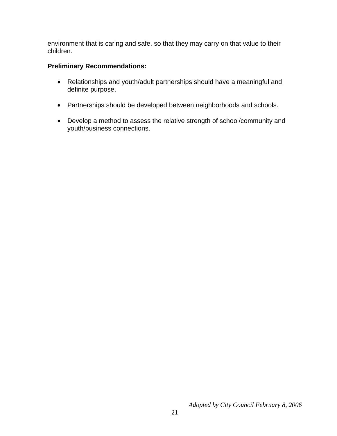environment that is caring and safe, so that they may carry on that value to their children.

#### **Preliminary Recommendations:**

- Relationships and youth/adult partnerships should have a meaningful and definite purpose.
- Partnerships should be developed between neighborhoods and schools.
- Develop a method to assess the relative strength of school/community and youth/business connections.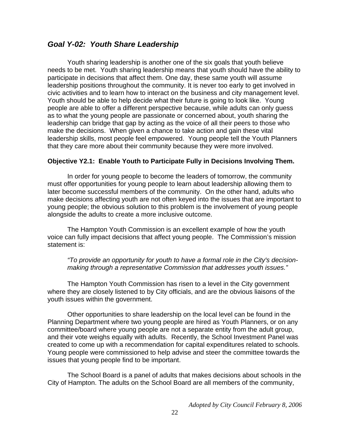#### *Goal Y-02: Youth Share Leadership*

 Youth sharing leadership is another one of the six goals that youth believe needs to be met. Youth sharing leadership means that youth should have the ability to participate in decisions that affect them. One day, these same youth will assume leadership positions throughout the community. It is never too early to get involved in civic activities and to learn how to interact on the business and city management level. Youth should be able to help decide what their future is going to look like. Young people are able to offer a different perspective because, while adults can only guess as to what the young people are passionate or concerned about, youth sharing the leadership can bridge that gap by acting as the voice of all their peers to those who make the decisions. When given a chance to take action and gain these vital leadership skills, most people feel empowered. Young people tell the Youth Planners that they care more about their community because they were more involved.

#### **Objective Y2.1: Enable Youth to Participate Fully in Decisions Involving Them.**

In order for young people to become the leaders of tomorrow, the community must offer opportunities for young people to learn about leadership allowing them to later become successful members of the community. On the other hand, adults who make decisions affecting youth are not often keyed into the issues that are important to young people; the obvious solution to this problem is the involvement of young people alongside the adults to create a more inclusive outcome.

The Hampton Youth Commission is an excellent example of how the youth voice can fully impact decisions that affect young people. The Commission's mission statement is:

*"To provide an opportunity for youth to have a formal role in the City's decisionmaking through a representative Commission that addresses youth issues."* 

The Hampton Youth Commission has risen to a level in the City government where they are closely listened to by City officials, and are the obvious liaisons of the youth issues within the government.

 Other opportunities to share leadership on the local level can be found in the Planning Department where two young people are hired as Youth Planners, or on any committee/board where young people are not a separate entity from the adult group, and their vote weighs equally with adults. Recently, the School Investment Panel was created to come up with a recommendation for capital expenditures related to schools. Young people were commissioned to help advise and steer the committee towards the issues that young people find to be important.

The School Board is a panel of adults that makes decisions about schools in the City of Hampton. The adults on the School Board are all members of the community,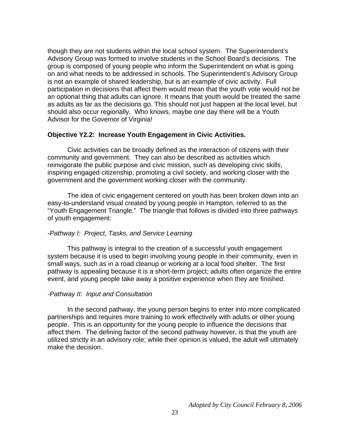though they are not students within the local school system. The Superintendent's Advisory Group was formed to involve students in the School Board's decisions. The group is composed of young people who inform the Superintendent on what is going on and what needs to be addressed in schools. The Superintendent's Advisory Group is not an example of shared leadership, but is an example of civic activity. Full participation in decisions that affect them would mean that the youth vote would not be an optional thing that adults can ignore. It means that youth would be treated the same as adults as far as the decisions go. This should not just happen at the local level, but should also occur regionally. Who knows, maybe one day there will be a Youth Advisor for the Governor of Virginia!

#### **Objective Y2.2: Increase Youth Engagement in Civic Activities.**

Civic activities can be broadly defined as the interaction of citizens with their community and government. They can also be described as activities which reinvigorate the public purpose and civic mission, such as developing civic skills, inspiring engaged citizenship, promoting a civil society, and working closer with the government and the government working closer with the community.

The idea of civic engagement centered on youth has been broken down into an easy-to-understand visual created by young people in Hampton, referred to as the "Youth Engagement Triangle." The triangle that follows is divided into three pathways of youth engagement:

#### *-Pathway I: Project, Tasks, and Service Learning*

This pathway is integral to the creation of a successful youth engagement system because it is used to begin involving young people in their community, even in small ways, such as in a road cleanup or working at a local food shelter. The first pathway is appealing because it is a short-term project; adults often organize the entire event, and young people take away a positive experience when they are finished.

#### *-Pathway II: Input and Consultation*

In the second pathway, the young person begins to enter into more complicated partnerships and requires more training to work effectively with adults or other young people. This is an opportunity for the young people to influence the decisions that affect them. The defining factor of the second pathway however, is that the youth are utilized strictly in an advisory role; while their opinion is valued, the adult will ultimately make the decision.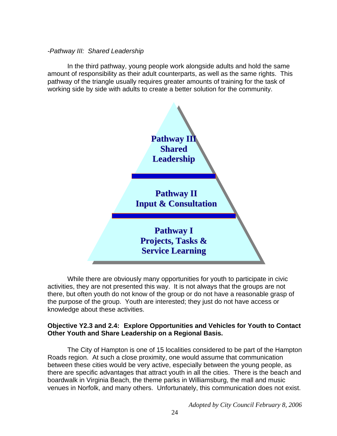#### *-Pathway III: Shared Leadership*

In the third pathway, young people work alongside adults and hold the same amount of responsibility as their adult counterparts, as well as the same rights. This pathway of the triangle usually requires greater amounts of training for the task of working side by side with adults to create a better solution for the community.



While there are obviously many opportunities for youth to participate in civic activities, they are not presented this way. It is not always that the groups are not there, but often youth do not know of the group or do not have a reasonable grasp of the purpose of the group. Youth are interested; they just do not have access or knowledge about these activities.

#### **Objective Y2.3 and 2.4: Explore Opportunities and Vehicles for Youth to Contact Other Youth and Share Leadership on a Regional Basis.**

The City of Hampton is one of 15 localities considered to be part of the Hampton Roads region. At such a close proximity, one would assume that communication between these cities would be very active, especially between the young people, as there are specific advantages that attract youth in all the cities. There is the beach and boardwalk in Virginia Beach, the theme parks in Williamsburg, the mall and music venues in Norfolk, and many others. Unfortunately, this communication does not exist.

*Adopted by City Council February 8, 2006*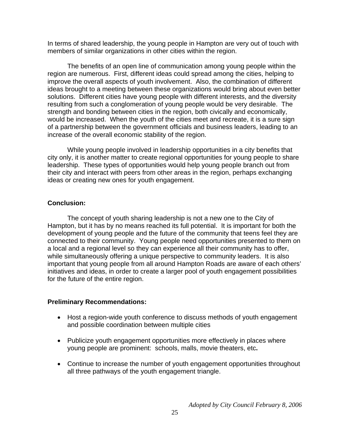In terms of shared leadership, the young people in Hampton are very out of touch with members of similar organizations in other cities within the region.

The benefits of an open line of communication among young people within the region are numerous. First, different ideas could spread among the cities, helping to improve the overall aspects of youth involvement. Also, the combination of different ideas brought to a meeting between these organizations would bring about even better solutions. Different cities have young people with different interests, and the diversity resulting from such a conglomeration of young people would be very desirable. The strength and bonding between cities in the region, both civically and economically, would be increased. When the youth of the cities meet and recreate, it is a sure sign of a partnership between the government officials and business leaders, leading to an increase of the overall economic stability of the region.

While young people involved in leadership opportunities in a city benefits that city only, it is another matter to create regional opportunities for young people to share leadership. These types of opportunities would help young people branch out from their city and interact with peers from other areas in the region, perhaps exchanging ideas or creating new ones for youth engagement.

#### **Conclusion:**

The concept of youth sharing leadership is not a new one to the City of Hampton, but it has by no means reached its full potential. It is important for both the development of young people and the future of the community that teens feel they are connected to their community. Young people need opportunities presented to them on a local and a regional level so they can experience all their community has to offer, while simultaneously offering a unique perspective to community leaders. It is also important that young people from all around Hampton Roads are aware of each others' initiatives and ideas, in order to create a larger pool of youth engagement possibilities for the future of the entire region.

#### **Preliminary Recommendations:**

- Host a region-wide youth conference to discuss methods of youth engagement and possible coordination between multiple cities
- Publicize youth engagement opportunities more effectively in places where young people are prominent: schools, malls, movie theaters, etc**.**
- Continue to increase the number of youth engagement opportunities throughout all three pathways of the youth engagement triangle.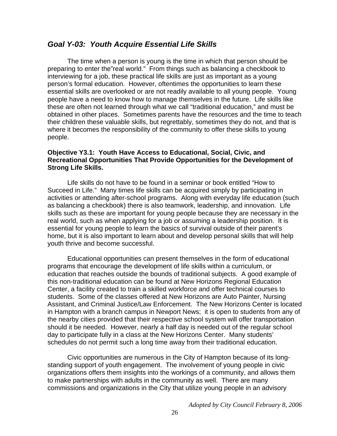#### *Goal Y-03: Youth Acquire Essential Life Skills*

The time when a person is young is the time in which that person should be preparing to enter the"real world." From things such as balancing a checkbook to interviewing for a job, these practical life skills are just as important as a young person's formal education. However, oftentimes the opportunities to learn these essential skills are overlooked or are not readily available to all young people. Young people have a need to know how to manage themselves in the future. Life skills like these are often not learned through what we call "traditional education," and must be obtained in other places. Sometimes parents have the resources and the time to teach their children these valuable skills, but regrettably, sometimes they do not, and that is where it becomes the responsibility of the community to offer these skills to young people.

#### **Objective Y3.1: Youth Have Access to Educational, Social, Civic, and Recreational Opportunities That Provide Opportunities for the Development of Strong Life Skills.**

Life skills do not have to be found in a seminar or book entitled "How to Succeed in Life." Many times life skills can be acquired simply by participating in activities or attending after-school programs. Along with everyday life education (such as balancing a checkbook) there is also teamwork, leadership, and innovation. Life skills such as these are important for young people because they are necessary in the real world, such as when applying for a job or assuming a leadership position. It is essential for young people to learn the basics of survival outside of their parent's home, but it is also important to learn about and develop personal skills that will help youth thrive and become successful.

Educational opportunities can present themselves in the form of educational programs that encourage the development of life skills within a curriculum, or education that reaches outside the bounds of traditional subjects. A good example of this non-traditional education can be found at New Horizons Regional Education Center, a facility created to train a skilled workforce and offer technical courses to students. Some of the classes offered at New Horizons are Auto Painter, Nursing Assistant, and Criminal Justice/Law Enforcement. The New Horizons Center is located in Hampton with a branch campus in Newport News; it is open to students from any of the nearby cities provided that their respective school system will offer transportation should it be needed. However, nearly a half day is needed out of the regular school day to participate fully in a class at the New Horizons Center. Many students' schedules do not permit such a long time away from their traditional education.

Civic opportunities are numerous in the City of Hampton because of its longstanding support of youth engagement. The involvement of young people in civic organizations offers them insights into the workings of a community, and allows them to make partnerships with adults in the community as well. There are many commissions and organizations in the City that utilize young people in an advisory

*Adopted by City Council February 8, 2006*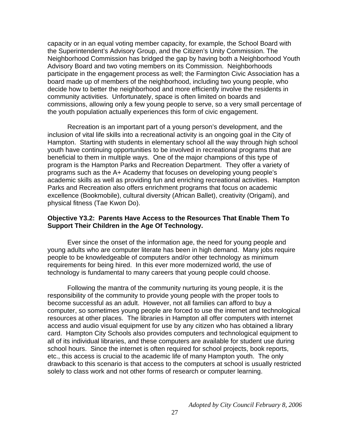capacity or in an equal voting member capacity, for example, the School Board with the Superintendent's Advisory Group, and the Citizen's Unity Commission. The Neighborhood Commission has bridged the gap by having both a Neighborhood Youth Advisory Board and two voting members on its Commission. Neighborhoods participate in the engagement process as well; the Farmington Civic Association has a board made up of members of the neighborhood, including two young people, who decide how to better the neighborhood and more efficiently involve the residents in community activities. Unfortunately, space is often limited on boards and commissions, allowing only a few young people to serve, so a very small percentage of the youth population actually experiences this form of civic engagement.

Recreation is an important part of a young person's development, and the inclusion of vital life skills into a recreational activity is an ongoing goal in the City of Hampton. Starting with students in elementary school all the way through high school youth have continuing opportunities to be involved in recreational programs that are beneficial to them in multiple ways. One of the major champions of this type of program is the Hampton Parks and Recreation Department. They offer a variety of programs such as the A+ Academy that focuses on developing young people's academic skills as well as providing fun and enriching recreational activities. Hampton Parks and Recreation also offers enrichment programs that focus on academic excellence (Bookmobile), cultural diversity (African Ballet), creativity (Origami), and physical fitness (Tae Kwon Do).

#### **Objective Y3.2: Parents Have Access to the Resources That Enable Them To Support Their Children in the Age Of Technology.**

Ever since the onset of the information age, the need for young people and young adults who are computer literate has been in high demand. Many jobs require people to be knowledgeable of computers and/or other technology as minimum requirements for being hired. In this ever more modernized world, the use of technology is fundamental to many careers that young people could choose.

Following the mantra of the community nurturing its young people, it is the responsibility of the community to provide young people with the proper tools to become successful as an adult. However, not all families can afford to buy a computer, so sometimes young people are forced to use the internet and technological resources at other places. The libraries in Hampton all offer computers with internet access and audio visual equipment for use by any citizen who has obtained a library card. Hampton City Schools also provides computers and technological equipment to all of its individual libraries, and these computers are available for student use during school hours. Since the internet is often required for school projects, book reports, etc., this access is crucial to the academic life of many Hampton youth. The only drawback to this scenario is that access to the computers at school is usually restricted solely to class work and not other forms of research or computer learning.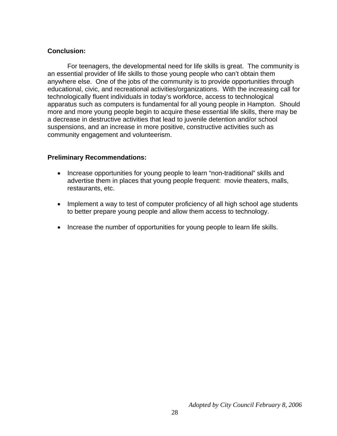#### **Conclusion:**

For teenagers, the developmental need for life skills is great. The community is an essential provider of life skills to those young people who can't obtain them anywhere else. One of the jobs of the community is to provide opportunities through educational, civic, and recreational activities/organizations. With the increasing call for technologically fluent individuals in today's workforce, access to technological apparatus such as computers is fundamental for all young people in Hampton. Should more and more young people begin to acquire these essential life skills, there may be a decrease in destructive activities that lead to juvenile detention and/or school suspensions, and an increase in more positive, constructive activities such as community engagement and volunteerism.

#### **Preliminary Recommendations:**

- Increase opportunities for young people to learn "non-traditional" skills and advertise them in places that young people frequent: movie theaters, malls, restaurants, etc.
- Implement a way to test of computer proficiency of all high school age students to better prepare young people and allow them access to technology.
- Increase the number of opportunities for young people to learn life skills.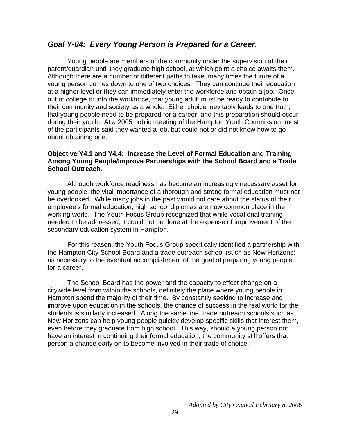#### *Goal Y-04: Every Young Person is Prepared for a Career.*

Young people are members of the community under the supervision of their parent/guardian until they graduate high school, at which point a choice awaits them. Although there are a number of different paths to take, many times the future of a young person comes down to one of two choices. They can continue their education at a higher level or they can immediately enter the workforce and obtain a job. Once out of college or into the workforce, that young adult must be ready to contribute to their community and society as a whole. Either choice inevitably leads to one truth; that young people need to be prepared for a career, and this preparation should occur during their youth. At a 2005 public meeting of the Hampton Youth Commission, most of the participants said they wanted a job, but could not or did not know how to go about obtaining one.

#### **Objective Y4.1 and Y4.4: Increase the Level of Formal Education and Training Among Young People/Improve Partnerships with the School Board and a Trade School Outreach.**

 Although workforce readiness has become an increasingly necessary asset for young people, the vital importance of a thorough and strong formal education must not be overlooked. While many jobs in the past would not care about the status of their employee's formal education, high school diplomas are now common place in the working world. The Youth Focus Group recognized that while vocational training needed to be addressed, it could not be done at the expense of improvement of the secondary education system in Hampton.

 For this reason, the Youth Focus Group specifically identified a partnership with the Hampton City School Board and a trade outreach school (such as New Horizons) as necessary to the eventual accomplishment of the goal of preparing young people for a career.

The School Board has the power and the capacity to effect change on a citywide level from within the schools, definitely the place where young people in Hampton spend the majority of their time. By constantly seeking to increase and improve upon education in the schools, the chance of success in the real world for the students is similarly increased. Along the same line, trade outreach schools such as New Horizons can help young people quickly develop specific skills that interest them, even before they graduate from high school. This way, should a young person not have an interest in continuing their formal education, the community still offers that person a chance early on to become involved in their trade of choice.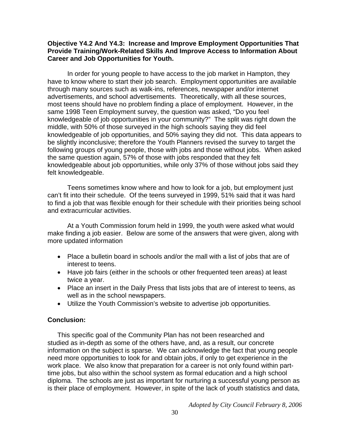#### **Objective Y4.2 And Y4.3: Increase and Improve Employment Opportunities That Provide Training/Work-Related Skills And Improve Access to Information About Career and Job Opportunities for Youth.**

In order for young people to have access to the job market in Hampton, they have to know where to start their job search. Employment opportunities are available through many sources such as walk-ins, references, newspaper and/or internet advertisements, and school advertisements. Theoretically, with all these sources, most teens should have no problem finding a place of employment. However, in the same 1998 Teen Employment survey, the question was asked, "Do you feel knowledgeable of job opportunities in your community?" The split was right down the middle, with 50% of those surveyed in the high schools saying they did feel knowledgeable of job opportunities, and 50% saying they did not. This data appears to be slightly inconclusive; therefore the Youth Planners revised the survey to target the following groups of young people, those with jobs and those without jobs. When asked the same question again, 57% of those with jobs responded that they felt knowledgeable about job opportunities, while only 37% of those without jobs said they felt knowledgeable.

Teens sometimes know where and how to look for a job, but employment just can't fit into their schedule. Of the teens surveyed in 1999, 51% said that it was hard to find a job that was flexible enough for their schedule with their priorities being school and extracurricular activities.

At a Youth Commission forum held in 1999, the youth were asked what would make finding a job easier. Below are some of the answers that were given, along with more updated information

- Place a bulletin board in schools and/or the mall with a list of jobs that are of interest to teens.
- Have job fairs (either in the schools or other frequented teen areas) at least twice a year.
- Place an insert in the Daily Press that lists jobs that are of interest to teens, as well as in the school newspapers.
- Utilize the Youth Commission's website to advertise job opportunities.

#### **Conclusion:**

This specific goal of the Community Plan has not been researched and studied as in-depth as some of the others have, and, as a result, our concrete information on the subject is sparse. We can acknowledge the fact that young people need more opportunities to look for and obtain jobs, if only to get experience in the work place. We also know that preparation for a career is not only found within parttime jobs, but also within the school system as formal education and a high school diploma. The schools are just as important for nurturing a successful young person as is their place of employment. However, in spite of the lack of youth statistics and data,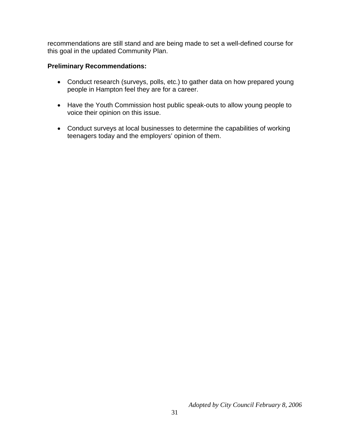recommendations are still stand and are being made to set a well-defined course for this goal in the updated Community Plan.

#### **Preliminary Recommendations:**

- Conduct research (surveys, polls, etc.) to gather data on how prepared young people in Hampton feel they are for a career.
- Have the Youth Commission host public speak-outs to allow young people to voice their opinion on this issue.
- Conduct surveys at local businesses to determine the capabilities of working teenagers today and the employers' opinion of them.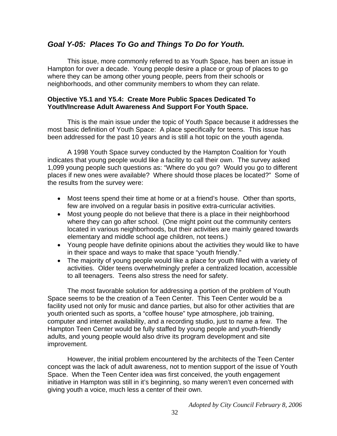#### *Goal Y-05: Places To Go and Things To Do for Youth.*

This issue, more commonly referred to as Youth Space, has been an issue in Hampton for over a decade. Young people desire a place or group of places to go where they can be among other young people, peers from their schools or neighborhoods, and other community members to whom they can relate.

#### **Objective Y5.1 and Y5.4: Create More Public Spaces Dedicated To Youth/Increase Adult Awareness And Support For Youth Space.**

This is the main issue under the topic of Youth Space because it addresses the most basic definition of Youth Space: A place specifically for teens. This issue has been addressed for the past 10 years and is still a hot topic on the youth agenda.

A 1998 Youth Space survey conducted by the Hampton Coalition for Youth indicates that young people would like a facility to call their own. The survey asked 1,099 young people such questions as: "Where do you go? Would you go to different places if new ones were available? Where should those places be located?" Some of the results from the survey were:

- Most teens spend their time at home or at a friend's house. Other than sports, few are involved on a regular basis in positive extra-curricular activities.
- Most young people do not believe that there is a place in their neighborhood where they can go after school. (One might point out the community centers located in various neighborhoods, but their activities are mainly geared towards elementary and middle school age children, not teens.)
- Young people have definite opinions about the activities they would like to have in their space and ways to make that space "youth friendly."
- The majority of young people would like a place for youth filled with a variety of activities. Older teens overwhelmingly prefer a centralized location, accessible to all teenagers. Teens also stress the need for safety.

 The most favorable solution for addressing a portion of the problem of Youth Space seems to be the creation of a Teen Center. This Teen Center would be a facility used not only for music and dance parties, but also for other activities that are youth oriented such as sports, a "coffee house" type atmosphere, job training, computer and internet availability, and a recording studio, just to name a few. The Hampton Teen Center would be fully staffed by young people and youth-friendly adults, and young people would also drive its program development and site improvement.

However, the initial problem encountered by the architects of the Teen Center concept was the lack of adult awareness, not to mention support of the issue of Youth Space. When the Teen Center idea was first conceived, the youth engagement initiative in Hampton was still in it's beginning, so many weren't even concerned with giving youth a voice, much less a center of their own.

*Adopted by City Council February 8, 2006*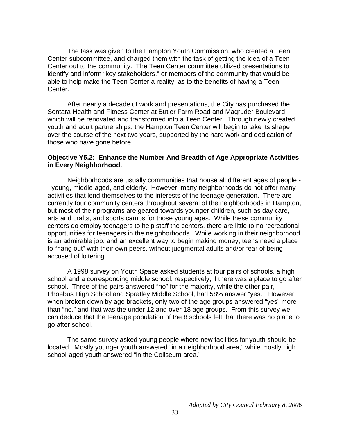The task was given to the Hampton Youth Commission, who created a Teen Center subcommittee, and charged them with the task of getting the idea of a Teen Center out to the community. The Teen Center committee utilized presentations to identify and inform "key stakeholders," or members of the community that would be able to help make the Teen Center a reality, as to the benefits of having a Teen Center.

After nearly a decade of work and presentations, the City has purchased the Sentara Health and Fitness Center at Butler Farm Road and Magruder Boulevard which will be renovated and transformed into a Teen Center. Through newly created youth and adult partnerships, the Hampton Teen Center will begin to take its shape over the course of the next two years, supported by the hard work and dedication of those who have gone before.

#### **Objective Y5.2: Enhance the Number And Breadth of Age Appropriate Activities in Every Neighborhood.**

Neighborhoods are usually communities that house all different ages of people - - young, middle-aged, and elderly. However, many neighborhoods do not offer many activities that lend themselves to the interests of the teenage generation. There are currently four community centers throughout several of the neighborhoods in Hampton, but most of their programs are geared towards younger children, such as day care, arts and crafts, and sports camps for those young ages. While these community centers do employ teenagers to help staff the centers, there are little to no recreational opportunities for teenagers in the neighborhoods. While working in their neighborhood is an admirable job, and an excellent way to begin making money, teens need a place to "hang out" with their own peers, without judgmental adults and/or fear of being accused of loitering.

 A 1998 survey on Youth Space asked students at four pairs of schools, a high school and a corresponding middle school, respectively, if there was a place to go after school. Three of the pairs answered "no" for the majority, while the other pair, Phoebus High School and Spratley Middle School, had 58% answer "yes." However, when broken down by age brackets, only two of the age groups answered "yes" more than "no," and that was the under 12 and over 18 age groups. From this survey we can deduce that the teenage population of the 8 schools felt that there was no place to go after school.

The same survey asked young people where new facilities for youth should be located. Mostly younger youth answered "in a neighborhood area," while mostly high school-aged youth answered "in the Coliseum area."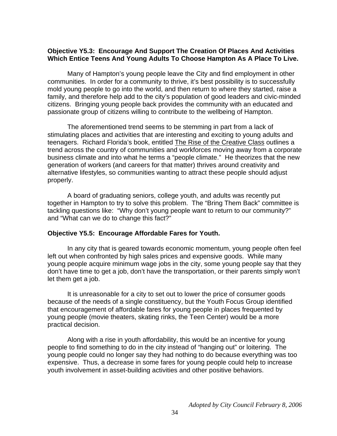#### **Objective Y5.3: Encourage And Support The Creation Of Places And Activities Which Entice Teens And Young Adults To Choose Hampton As A Place To Live.**

 Many of Hampton's young people leave the City and find employment in other communities. In order for a community to thrive, it's best possibility is to successfully mold young people to go into the world, and then return to where they started, raise a family, and therefore help add to the city's population of good leaders and civic-minded citizens. Bringing young people back provides the community with an educated and passionate group of citizens willing to contribute to the wellbeing of Hampton.

The aforementioned trend seems to be stemming in part from a lack of stimulating places and activities that are interesting and exciting to young adults and teenagers. Richard Florida's book, entitled The Rise of the Creative Class outlines a trend across the country of communities and workforces moving away from a corporate business climate and into what he terms a "people climate." He theorizes that the new generation of workers (and careers for that matter) thrives around creativity and alternative lifestyles, so communities wanting to attract these people should adjust properly.

A board of graduating seniors, college youth, and adults was recently put together in Hampton to try to solve this problem. The "Bring Them Back" committee is tackling questions like: "Why don't young people want to return to our community?" and "What can we do to change this fact?"

#### **Objective Y5.5: Encourage Affordable Fares for Youth.**

In any city that is geared towards economic momentum, young people often feel left out when confronted by high sales prices and expensive goods. While many young people acquire minimum wage jobs in the city, some young people say that they don't have time to get a job, don't have the transportation, or their parents simply won't let them get a job.

It is unreasonable for a city to set out to lower the price of consumer goods because of the needs of a single constituency, but the Youth Focus Group identified that encouragement of affordable fares for young people in places frequented by young people (movie theaters, skating rinks, the Teen Center) would be a more practical decision.

Along with a rise in youth affordability, this would be an incentive for young people to find something to do in the city instead of "hanging out" or loitering. The young people could no longer say they had nothing to do because everything was too expensive. Thus, a decrease in some fares for young people could help to increase youth involvement in asset-building activities and other positive behaviors.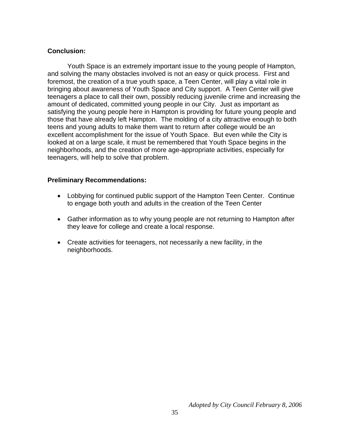#### **Conclusion:**

Youth Space is an extremely important issue to the young people of Hampton, and solving the many obstacles involved is not an easy or quick process. First and foremost, the creation of a true youth space, a Teen Center, will play a vital role in bringing about awareness of Youth Space and City support. A Teen Center will give teenagers a place to call their own, possibly reducing juvenile crime and increasing the amount of dedicated, committed young people in our City. Just as important as satisfying the young people here in Hampton is providing for future young people and those that have already left Hampton. The molding of a city attractive enough to both teens and young adults to make them want to return after college would be an excellent accomplishment for the issue of Youth Space. But even while the City is looked at on a large scale, it must be remembered that Youth Space begins in the neighborhoods, and the creation of more age-appropriate activities, especially for teenagers, will help to solve that problem.

#### **Preliminary Recommendations:**

- Lobbying for continued public support of the Hampton Teen Center. Continue to engage both youth and adults in the creation of the Teen Center
- Gather information as to why young people are not returning to Hampton after they leave for college and create a local response.
- Create activities for teenagers, not necessarily a new facility, in the neighborhoods.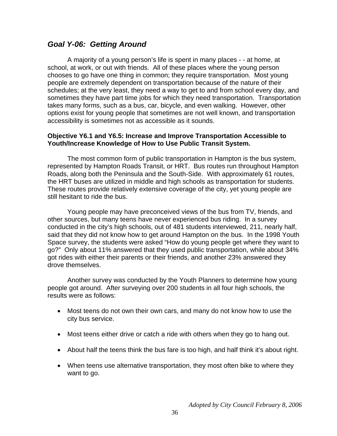### *Goal Y-06: Getting Around*

A majority of a young person's life is spent in many places - - at home, at school, at work, or out with friends. All of these places where the young person chooses to go have one thing in common; they require transportation. Most young people are extremely dependent on transportation because of the nature of their schedules; at the very least, they need a way to get to and from school every day, and sometimes they have part time jobs for which they need transportation. Transportation takes many forms, such as a bus, car, bicycle, and even walking. However, other options exist for young people that sometimes are not well known, and transportation accessibility is sometimes not as accessible as it sounds.

#### **Objective Y6.1 and Y6.5: Increase and Improve Transportation Accessible to Youth/Increase Knowledge of How to Use Public Transit System.**

The most common form of public transportation in Hampton is the bus system, represented by Hampton Roads Transit, or HRT. Bus routes run throughout Hampton Roads, along both the Peninsula and the South-Side. With approximately 61 routes, the HRT buses are utilized in middle and high schools as transportation for students. These routes provide relatively extensive coverage of the city, yet young people are still hesitant to ride the bus.

Young people may have preconceived views of the bus from TV, friends, and other sources, but many teens have never experienced bus riding. In a survey conducted in the city's high schools, out of 481 students interviewed, 211, nearly half, said that they did not know how to get around Hampton on the bus. In the 1998 Youth Space survey, the students were asked "How do young people get where they want to go?" Only about 11% answered that they used public transportation, while about 34% got rides with either their parents or their friends, and another 23% answered they drove themselves.

Another survey was conducted by the Youth Planners to determine how young people got around. After surveying over 200 students in all four high schools, the results were as follows:

- Most teens do not own their own cars, and many do not know how to use the city bus service.
- Most teens either drive or catch a ride with others when they go to hang out.
- About half the teens think the bus fare is too high, and half think it's about right.
- When teens use alternative transportation, they most often bike to where they want to go.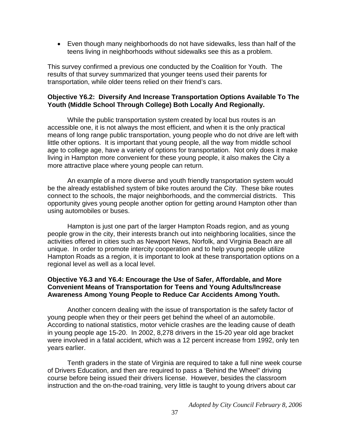• Even though many neighborhoods do not have sidewalks, less than half of the teens living in neighborhoods without sidewalks see this as a problem.

This survey confirmed a previous one conducted by the Coalition for Youth. The results of that survey summarized that younger teens used their parents for transportation, while older teens relied on their friend's cars.

#### **Objective Y6.2: Diversify And Increase Transportation Options Available To The Youth (Middle School Through College) Both Locally And Regionally.**

 While the public transportation system created by local bus routes is an accessible one, it is not always the most efficient, and when it is the only practical means of long range public transportation, young people who do not drive are left with little other options. It is important that young people, all the way from middle school age to college age, have a variety of options for transportation. Not only does it make living in Hampton more convenient for these young people, it also makes the City a more attractive place where young people can return.

 An example of a more diverse and youth friendly transportation system would be the already established system of bike routes around the City. These bike routes connect to the schools, the major neighborhoods, and the commercial districts. This opportunity gives young people another option for getting around Hampton other than using automobiles or buses.

 Hampton is just one part of the larger Hampton Roads region, and as young people grow in the city, their interests branch out into neighboring localities, since the activities offered in cities such as Newport News, Norfolk, and Virginia Beach are all unique. In order to promote intercity cooperation and to help young people utilize Hampton Roads as a region, it is important to look at these transportation options on a regional level as well as a local level.

#### **Objective Y6.3 and Y6.4: Encourage the Use of Safer, Affordable, and More Convenient Means of Transportation for Teens and Young Adults/Increase Awareness Among Young People to Reduce Car Accidents Among Youth.**

Another concern dealing with the issue of transportation is the safety factor of young people when they or their peers get behind the wheel of an automobile. According to national statistics, motor vehicle crashes are the leading cause of death in young people age 15-20. In 2002, 8,278 drivers in the 15-20 year old age bracket were involved in a fatal accident, which was a 12 percent increase from 1992, only ten years earlier.

Tenth graders in the state of Virginia are required to take a full nine week course of Drivers Education, and then are required to pass a 'Behind the Wheel" driving course before being issued their drivers license. However, besides the classroom instruction and the on-the-road training, very little is taught to young drivers about car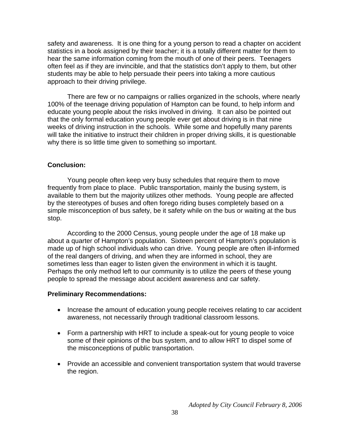safety and awareness. It is one thing for a young person to read a chapter on accident statistics in a book assigned by their teacher; it is a totally different matter for them to hear the same information coming from the mouth of one of their peers. Teenagers often feel as if they are invincible, and that the statistics don't apply to them, but other students may be able to help persuade their peers into taking a more cautious approach to their driving privilege.

There are few or no campaigns or rallies organized in the schools, where nearly 100% of the teenage driving population of Hampton can be found, to help inform and educate young people about the risks involved in driving. It can also be pointed out that the only formal education young people ever get about driving is in that nine weeks of driving instruction in the schools. While some and hopefully many parents will take the initiative to instruct their children in proper driving skills, it is questionable why there is so little time given to something so important.

#### **Conclusion:**

 Young people often keep very busy schedules that require them to move frequently from place to place. Public transportation, mainly the busing system, is available to them but the majority utilizes other methods. Young people are affected by the stereotypes of buses and often forego riding buses completely based on a simple misconception of bus safety, be it safety while on the bus or waiting at the bus stop.

According to the 2000 Census, young people under the age of 18 make up about a quarter of Hampton's population. Sixteen percent of Hampton's population is made up of high school individuals who can drive. Young people are often ill-informed of the real dangers of driving, and when they are informed in school, they are sometimes less than eager to listen given the environment in which it is taught. Perhaps the only method left to our community is to utilize the peers of these young people to spread the message about accident awareness and car safety.

#### **Preliminary Recommendations:**

- Increase the amount of education young people receives relating to car accident awareness, not necessarily through traditional classroom lessons.
- Form a partnership with HRT to include a speak-out for young people to voice some of their opinions of the bus system, and to allow HRT to dispel some of the misconceptions of public transportation.
- Provide an accessible and convenient transportation system that would traverse the region.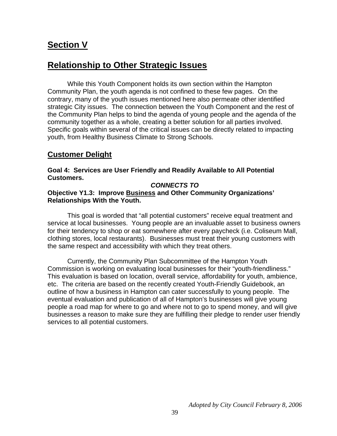## **Section V**

## **Relationship to Other Strategic Issues**

 While this Youth Component holds its own section within the Hampton Community Plan, the youth agenda is not confined to these few pages. On the contrary, many of the youth issues mentioned here also permeate other identified strategic City issues. The connection between the Youth Component and the rest of the Community Plan helps to bind the agenda of young people and the agenda of the community together as a whole, creating a better solution for all parties involved. Specific goals within several of the critical issues can be directly related to impacting youth, from Healthy Business Climate to Strong Schools.

## **Customer Delight**

**Goal 4: Services are User Friendly and Readily Available to All Potential Customers.** 

#### *CONNECTS TO*

#### **Objective Y1.3: Improve Business and Other Community Organizations' Relationships With the Youth.**

This goal is worded that "all potential customers" receive equal treatment and service at local businesses. Young people are an invaluable asset to business owners for their tendency to shop or eat somewhere after every paycheck (i.e. Coliseum Mall, clothing stores, local restaurants). Businesses must treat their young customers with the same respect and accessibility with which they treat others.

 Currently, the Community Plan Subcommittee of the Hampton Youth Commission is working on evaluating local businesses for their "youth-friendliness." This evaluation is based on location, overall service, affordability for youth, ambience, etc. The criteria are based on the recently created Youth-Friendly Guidebook, an outline of how a business in Hampton can cater successfully to young people. The eventual evaluation and publication of all of Hampton's businesses will give young people a road map for where to go and where not to go to spend money, and will give businesses a reason to make sure they are fulfilling their pledge to render user friendly services to all potential customers.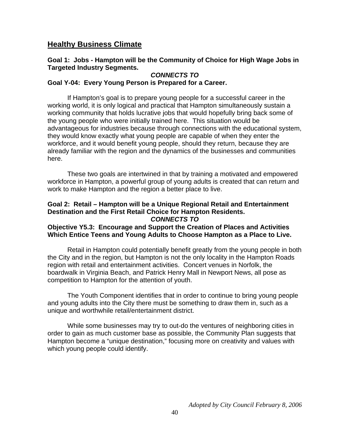### **Healthy Business Climate**

#### **Goal 1: Jobs - Hampton will be the Community of Choice for High Wage Jobs in Targeted Industry Segments.**

#### *CONNECTS TO*

#### **Goal Y-04: Every Young Person is Prepared for a Career.**

 If Hampton's goal is to prepare young people for a successful career in the working world, it is only logical and practical that Hampton simultaneously sustain a working community that holds lucrative jobs that would hopefully bring back some of the young people who were initially trained here. This situation would be advantageous for industries because through connections with the educational system, they would know exactly what young people are capable of when they enter the workforce, and it would benefit young people, should they return, because they are already familiar with the region and the dynamics of the businesses and communities here.

These two goals are intertwined in that by training a motivated and empowered workforce in Hampton, a powerful group of young adults is created that can return and work to make Hampton and the region a better place to live.

#### **Goal 2: Retail – Hampton will be a Unique Regional Retail and Entertainment Destination and the First Retail Choice for Hampton Residents.**  *CONNECTS TO*

#### **Objective Y5.3: Encourage and Support the Creation of Places and Activities Which Entice Teens and Young Adults to Choose Hampton as a Place to Live.**

 Retail in Hampton could potentially benefit greatly from the young people in both the City and in the region, but Hampton is not the only locality in the Hampton Roads region with retail and entertainment activities. Concert venues in Norfolk, the boardwalk in Virginia Beach, and Patrick Henry Mall in Newport News, all pose as competition to Hampton for the attention of youth.

The Youth Component identifies that in order to continue to bring young people and young adults into the City there must be something to draw them in, such as a unique and worthwhile retail/entertainment district.

While some businesses may try to out-do the ventures of neighboring cities in order to gain as much customer base as possible, the Community Plan suggests that Hampton become a "unique destination," focusing more on creativity and values with which young people could identify.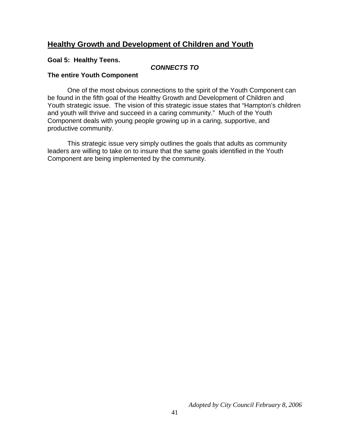### **Healthy Growth and Development of Children and Youth**

#### **Goal 5: Healthy Teens.**

#### *CONNECTS TO*

#### **The entire Youth Component**

 One of the most obvious connections to the spirit of the Youth Component can be found in the fifth goal of the Healthy Growth and Development of Children and Youth strategic issue. The vision of this strategic issue states that "Hampton's children and youth will thrive and succeed in a caring community." Much of the Youth Component deals with young people growing up in a caring, supportive, and productive community.

This strategic issue very simply outlines the goals that adults as community leaders are willing to take on to insure that the same goals identified in the Youth Component are being implemented by the community.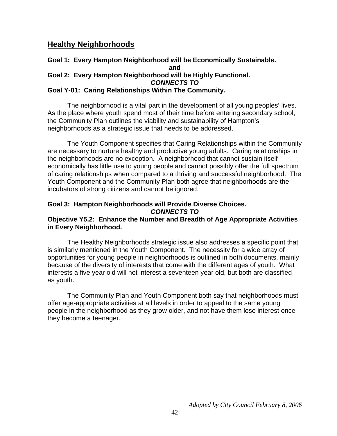#### **Healthy Neighborhoods**

#### **Goal 1: Every Hampton Neighborhood will be Economically Sustainable. and Goal 2: Every Hampton Neighborhood will be Highly Functional.**  *CONNECTS TO*  **Goal Y-01: Caring Relationships Within The Community.**

The neighborhood is a vital part in the development of all young peoples' lives. As the place where youth spend most of their time before entering secondary school, the Community Plan outlines the viability and sustainability of Hampton's neighborhoods as a strategic issue that needs to be addressed.

The Youth Component specifies that Caring Relationships within the Community are necessary to nurture healthy and productive young adults. Caring relationships in the neighborhoods are no exception. A neighborhood that cannot sustain itself economically has little use to young people and cannot possibly offer the full spectrum of caring relationships when compared to a thriving and successful neighborhood. The Youth Component and the Community Plan both agree that neighborhoods are the incubators of strong citizens and cannot be ignored.

#### **Goal 3: Hampton Neighborhoods will Provide Diverse Choices.**  *CONNECTS TO*

#### **Objective Y5.2: Enhance the Number and Breadth of Age Appropriate Activities in Every Neighborhood.**

The Healthy Neighborhoods strategic issue also addresses a specific point that is similarly mentioned in the Youth Component. The necessity for a wide array of opportunities for young people in neighborhoods is outlined in both documents, mainly because of the diversity of interests that come with the different ages of youth. What interests a five year old will not interest a seventeen year old, but both are classified as youth.

The Community Plan and Youth Component both say that neighborhoods must offer age-appropriate activities at all levels in order to appeal to the same young people in the neighborhood as they grow older, and not have them lose interest once they become a teenager.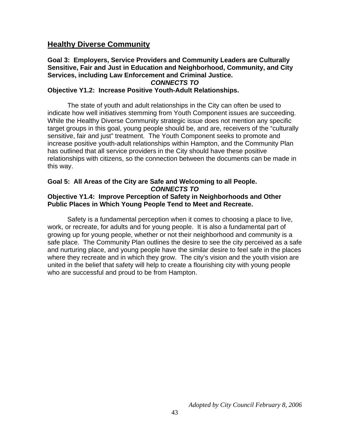### **Healthy Diverse Community**

#### **Goal 3: Employers, Service Providers and Community Leaders are Culturally Sensitive, Fair and Just in Education and Neighborhood, Community, and City Services, including Law Enforcement and Criminal Justice.**  *CONNECTS TO*

#### **Objective Y1.2: Increase Positive Youth-Adult Relationships.**

The state of youth and adult relationships in the City can often be used to indicate how well initiatives stemming from Youth Component issues are succeeding. While the Healthy Diverse Community strategic issue does not mention any specific target groups in this goal, young people should be, and are, receivers of the "culturally sensitive, fair and just" treatment. The Youth Component seeks to promote and increase positive youth-adult relationships within Hampton, and the Community Plan has outlined that all service providers in the City should have these positive relationships with citizens, so the connection between the documents can be made in this way.

#### **Goal 5: All Areas of the City are Safe and Welcoming to all People.** *CONNECTS TO*

#### **Objective Y1.4: Improve Perception of Safety in Neighborhoods and Other Public Places in Which Young People Tend to Meet and Recreate.**

 Safety is a fundamental perception when it comes to choosing a place to live, work, or recreate, for adults and for young people. It is also a fundamental part of growing up for young people, whether or not their neighborhood and community is a safe place. The Community Plan outlines the desire to see the city perceived as a safe and nurturing place, and young people have the similar desire to feel safe in the places where they recreate and in which they grow. The city's vision and the youth vision are united in the belief that safety will help to create a flourishing city with young people who are successful and proud to be from Hampton.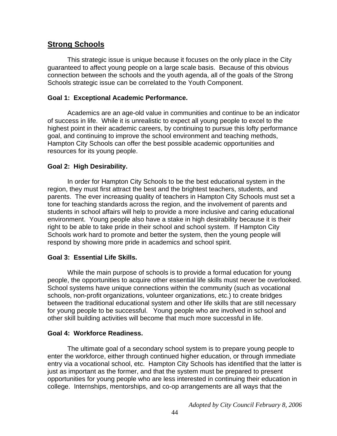## **Strong Schools**

This strategic issue is unique because it focuses on the only place in the City guaranteed to affect young people on a large scale basis. Because of this obvious connection between the schools and the youth agenda, all of the goals of the Strong Schools strategic issue can be correlated to the Youth Component.

#### **Goal 1: Exceptional Academic Performance.**

 Academics are an age-old value in communities and continue to be an indicator of success in life. While it is unrealistic to expect all young people to excel to the highest point in their academic careers, by continuing to pursue this lofty performance goal, and continuing to improve the school environment and teaching methods, Hampton City Schools can offer the best possible academic opportunities and resources for its young people.

#### **Goal 2: High Desirability.**

 In order for Hampton City Schools to be the best educational system in the region, they must first attract the best and the brightest teachers, students, and parents. The ever increasing quality of teachers in Hampton City Schools must set a tone for teaching standards across the region, and the involvement of parents and students in school affairs will help to provide a more inclusive and caring educational environment. Young people also have a stake in high desirability because it is their right to be able to take pride in their school and school system. If Hampton City Schools work hard to promote and better the system, then the young people will respond by showing more pride in academics and school spirit.

#### **Goal 3: Essential Life Skills.**

 While the main purpose of schools is to provide a formal education for young people, the opportunities to acquire other essential life skills must never be overlooked. School systems have unique connections within the community (such as vocational schools, non-profit organizations, volunteer organizations, etc.) to create bridges between the traditional educational system and other life skills that are still necessary for young people to be successful. Young people who are involved in school and other skill building activities will become that much more successful in life.

#### **Goal 4: Workforce Readiness.**

 The ultimate goal of a secondary school system is to prepare young people to enter the workforce, either through continued higher education, or through immediate entry via a vocational school, etc. Hampton City Schools has identified that the latter is just as important as the former, and that the system must be prepared to present opportunities for young people who are less interested in continuing their education in college. Internships, mentorships, and co-op arrangements are all ways that the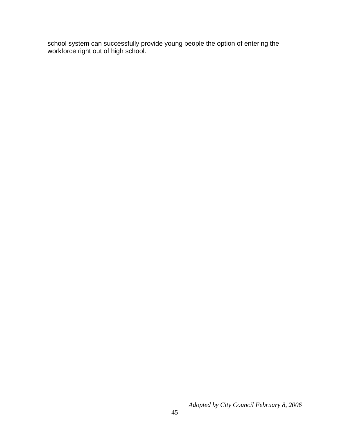school system can successfully provide young people the option of entering the workforce right out of high school.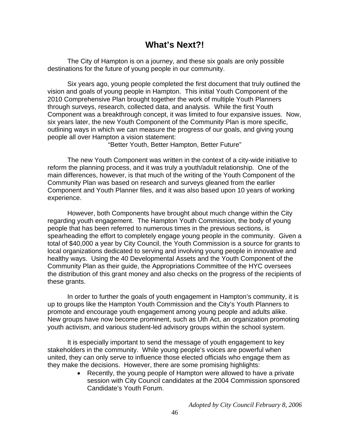## **What's Next?!**

The City of Hampton is on a journey, and these six goals are only possible destinations for the future of young people in our community.

 Six years ago, young people completed the first document that truly outlined the vision and goals of young people in Hampton. This initial Youth Component of the 2010 Comprehensive Plan brought together the work of multiple Youth Planners through surveys, research, collected data, and analysis. While the first Youth Component was a breakthrough concept, it was limited to four expansive issues. Now, six years later, the new Youth Component of the Community Plan is more specific, outlining ways in which we can measure the progress of our goals, and giving young people all over Hampton a vision statement:

"Better Youth, Better Hampton, Better Future"

The new Youth Component was written in the context of a city-wide initiative to reform the planning process, and it was truly a youth/adult relationship. One of the main differences, however, is that much of the writing of the Youth Component of the Community Plan was based on research and surveys gleaned from the earlier Component and Youth Planner files, and it was also based upon 10 years of working experience.

However, both Components have brought about much change within the City regarding youth engagement. The Hampton Youth Commission, the body of young people that has been referred to numerous times in the previous sections, is spearheading the effort to completely engage young people in the community. Given a total of \$40,000 a year by City Council, the Youth Commission is a source for grants to local organizations dedicated to serving and involving young people in innovative and healthy ways. Using the 40 Developmental Assets and the Youth Component of the Community Plan as their guide, the Appropriations Committee of the HYC oversees the distribution of this grant money and also checks on the progress of the recipients of these grants.

In order to further the goals of youth engagement in Hampton's community, it is up to groups like the Hampton Youth Commission and the City's Youth Planners to promote and encourage youth engagement among young people and adults alike. New groups have now become prominent, such as Uth Act, an organization promoting youth activism, and various student-led advisory groups within the school system.

It is especially important to send the message of youth engagement to key stakeholders in the community. While young people's voices are powerful when united, they can only serve to influence those elected officials who engage them as they make the decisions. However, there are some promising highlights:

> • Recently, the young people of Hampton were allowed to have a private session with City Council candidates at the 2004 Commission sponsored Candidate's Youth Forum.

> > *Adopted by City Council February 8, 2006*